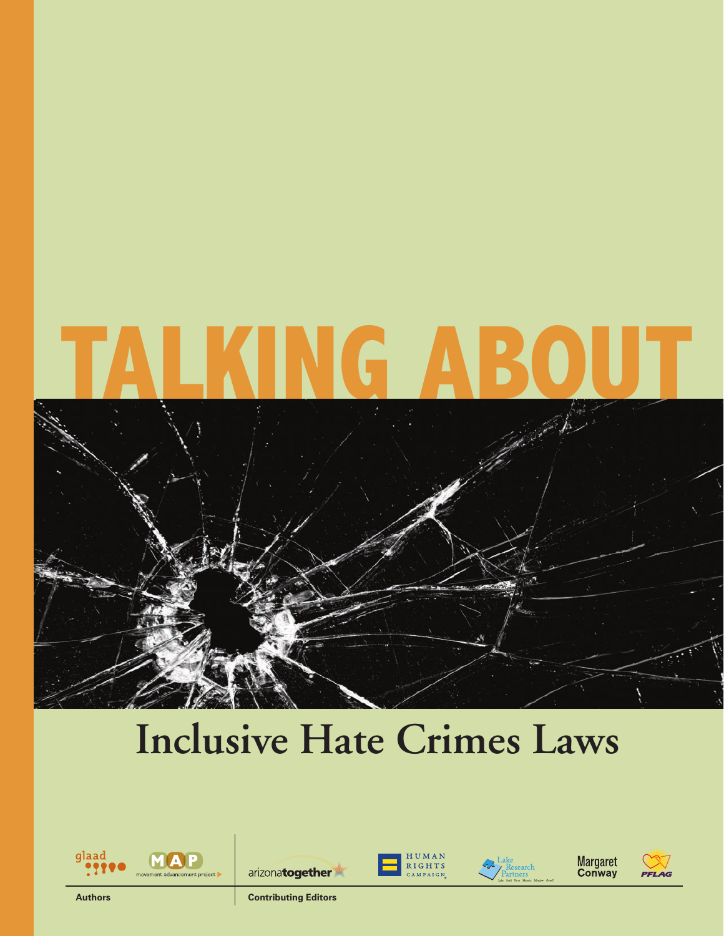# **Talking About**



# **Inclusive Hate Crimes Laws**















**Authors Contributing Editors**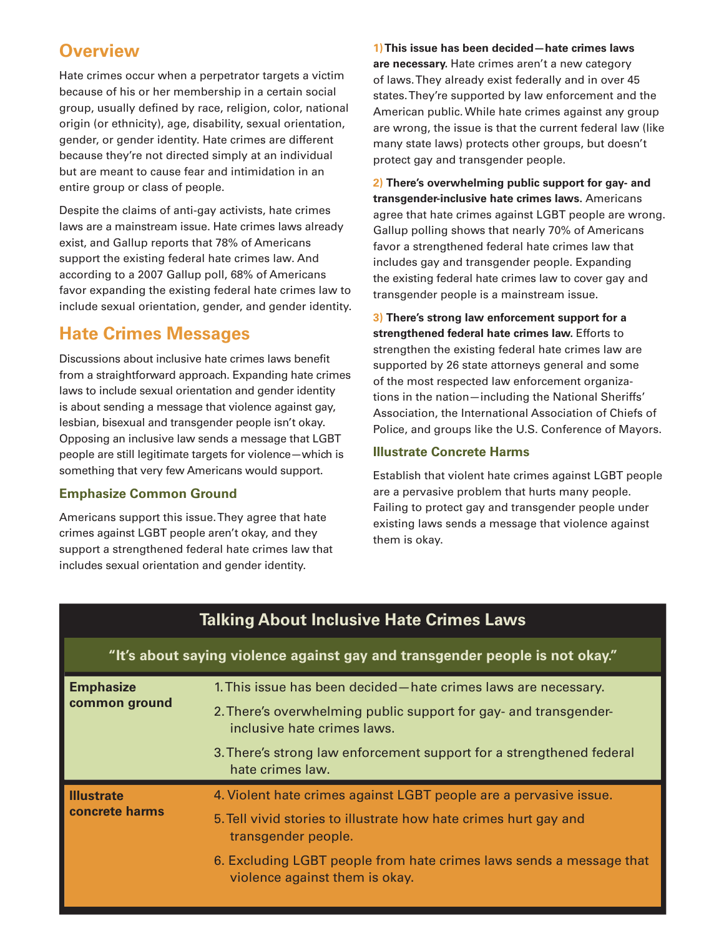# **Overview**

Hate crimes occur when a perpetrator targets a victim because of his or her membership in a certain social group, usually defined by race, religion, color, national origin (or ethnicity), age, disability, sexual orientation, gender, or gender identity. Hate crimes are different because they're not directed simply at an individual but are meant to cause fear and intimidation in an entire group or class of people.

Despite the claims of anti-gay activists, hate crimes laws are a mainstream issue. Hate crimes laws already exist, and Gallup reports that 78% of Americans support the existing federal hate crimes law. And according to a 2007 Gallup poll, 68% of Americans favor expanding the existing federal hate crimes law to include sexual orientation, gender, and gender identity.

# **Hate Crimes Messages**

Discussions about inclusive hate crimes laws benefit from a straightforward approach. Expanding hate crimes laws to include sexual orientation and gender identity is about sending a message that violence against gay, lesbian, bisexual and transgender people isn't okay. Opposing an inclusive law sends a message that LGBT people are still legitimate targets for violence—which is something that very few Americans would support.

# **Emphasize Common Ground**

Americans support this issue. They agree that hate crimes against LGBT people aren't okay, and they support a strengthened federal hate crimes law that includes sexual orientation and gender identity.

**1) This issue has been decided—hate crimes laws are necessary.** Hate crimes aren't a new category of laws. They already exist federally and in over 45 states. They're supported by law enforcement and the American public. While hate crimes against any group are wrong, the issue is that the current federal law (like many state laws) protects other groups, but doesn't protect gay and transgender people.

**2) There's overwhelming public support for gay- and transgender-inclusive hate crimes laws.** Americans agree that hate crimes against LGBT people are wrong. Gallup polling shows that nearly 70% of Americans favor a strengthened federal hate crimes law that includes gay and transgender people. Expanding the existing federal hate crimes law to cover gay and transgender people is a mainstream issue.

**3) There's strong law enforcement support for a strengthened federal hate crimes law.** Efforts to strengthen the existing federal hate crimes law are supported by 26 state attorneys general and some of the most respected law enforcement organizations in the nation—including the National Sheriffs' Association, the International Association of Chiefs of Police, and groups like the U.S. Conference of Mayors.

# **Illustrate Concrete Harms**

Establish that violent hate crimes against LGBT people are a pervasive problem that hurts many people. Failing to protect gay and transgender people under existing laws sends a message that violence against them is okay.

| <b>Talking About Inclusive Hate Crimes Laws</b>                              |                                                                                                       |
|------------------------------------------------------------------------------|-------------------------------------------------------------------------------------------------------|
| "It's about saying violence against gay and transgender people is not okay." |                                                                                                       |
| <b>Emphasize</b><br>common ground                                            | 1. This issue has been decided - hate crimes laws are necessary.                                      |
|                                                                              | 2. There's overwhelming public support for gay- and transgender-<br>inclusive hate crimes laws.       |
|                                                                              | 3. There's strong law enforcement support for a strengthened federal<br>hate crimes law.              |
| <b>Illustrate</b><br>concrete harms                                          | 4. Violent hate crimes against LGBT people are a pervasive issue.                                     |
|                                                                              | 5. Tell vivid stories to illustrate how hate crimes hurt gay and<br>transgender people.               |
|                                                                              | 6. Excluding LGBT people from hate crimes laws sends a message that<br>violence against them is okay. |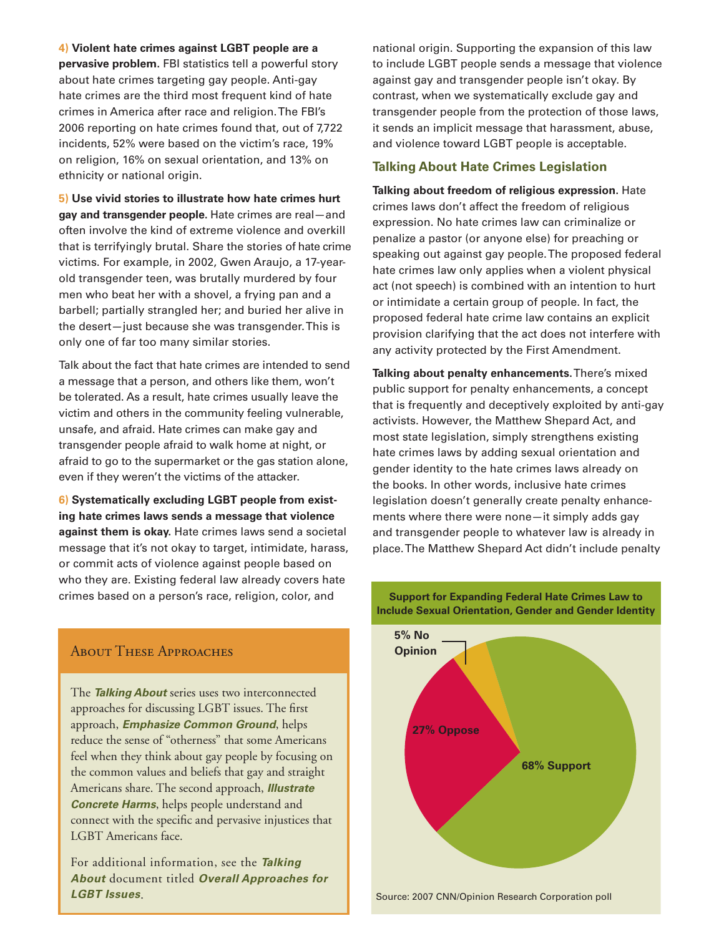**4) Violent hate crimes against LGBT people are a pervasive problem.** FBI statistics tell a powerful story about hate crimes targeting gay people. Anti-gay hate crimes are the third most frequent kind of hate crimes in America after race and religion. The FBI's 2006 reporting on hate crimes found that, out of 7,722 incidents, 52% were based on the victim's race, 19% on religion, 16% on sexual orientation, and 13% on ethnicity or national origin.

**5) Use vivid stories to illustrate how hate crimes hurt gay and transgender people.** Hate crimes are real—and often involve the kind of extreme violence and overkill that is terrifyingly brutal. Share the stories of hate crime victims. For example, in 2002, Gwen Araujo, a 17-yearold transgender teen, was brutally murdered by four men who beat her with a shovel, a frying pan and a barbell; partially strangled her; and buried her alive in the desert—just because she was transgender. This is only one of far too many similar stories.

Talk about the fact that hate crimes are intended to send a message that a person, and others like them, won't be tolerated. As a result, hate crimes usually leave the victim and others in the community feeling vulnerable, unsafe, and afraid. Hate crimes can make gay and transgender people afraid to walk home at night, or afraid to go to the supermarket or the gas station alone, even if they weren't the victims of the attacker.

**6) Systematically excluding LGBT people from existing hate crimes laws sends a message that violence against them is okay.** Hate crimes laws send a societal message that it's not okay to target, intimidate, harass, or commit acts of violence against people based on who they are. Existing federal law already covers hate crimes based on a person's race, religion, color, and

About These Approaches **Opinion**

The *Talking About* series uses two interconnected approaches for discussing LGBT issues. The first approach, *Emphasize Common Ground*, helps reduce the sense of "otherness" that some Americans feel when they think about gay people by focusing on the common values and beliefs that gay and straight Americans share. The second approach, *Illustrate Concrete Harms*, helps people understand and connect with the specific and pervasive injustices that LGBT Americans face.

For additional information, see the *Talking About* document titled *Overall Approaches for LGBT Issues*.

national origin. Supporting the expansion of this law to include LGBT people sends a message that violence against gay and transgender people isn't okay. By contrast, when we systematically exclude gay and transgender people from the protection of those laws, it sends an implicit message that harassment, abuse, and violence toward LGBT people is acceptable.

## **Talking About Hate Crimes Legislation**

**Talking about freedom of religious expression.** Hate crimes laws don't affect the freedom of religious expression. No hate crimes law can criminalize or penalize a pastor (or anyone else) for preaching or speaking out against gay people. The proposed federal hate crimes law only applies when a violent physical act (not speech) is combined with an intention to hurt or intimidate a certain group of people. In fact, the proposed federal hate crime law contains an explicit provision clarifying that the act does not interfere with any activity protected by the First Amendment.

**Talking about penalty enhancements.** There's mixed public support for penalty enhancements, a concept that is frequently and deceptively exploited by anti-gay activists. However, the Matthew Shepard Act, and most state legislation, simply strengthens existing hate crimes laws by adding sexual orientation and gender identity to the hate crimes laws already on the books. In other words, inclusive hate crimes legislation doesn't generally create penalty enhancements where there were none—it simply adds gay and transgender people to whatever law is already in place. The Matthew Shepard Act didn't include penalty



**Support for Expanding Federal Hate Crimes Law to Include Sexual Orientation, Gender and Gender Identity**

Source: 2007 CNN/Opinion Research Corporation poll